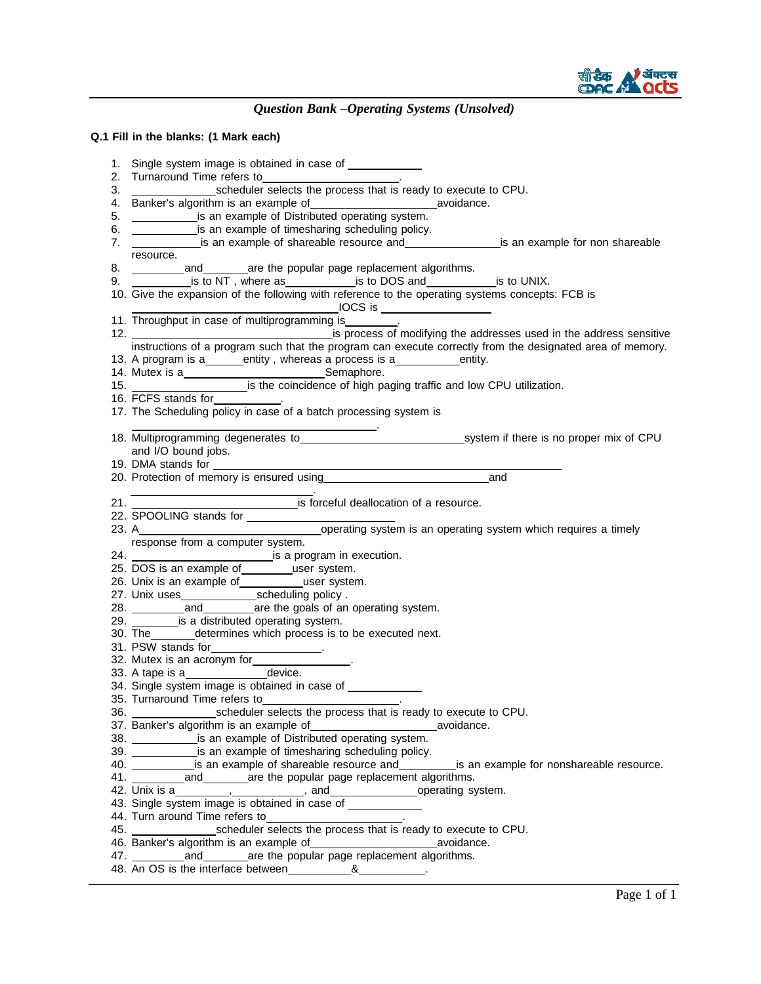

## **Q.1 Fill in the blanks: (1 Mark each)**

| 1. Single system image is obtained in case of ______________                                                                                                                         |
|--------------------------------------------------------------------------------------------------------------------------------------------------------------------------------------|
| 2. Turnaround Time refers to______________________.                                                                                                                                  |
|                                                                                                                                                                                      |
| 4. Banker's algorithm is an example of ________________________________avoidance.                                                                                                    |
| 5. ______________ is an example of Distributed operating system.                                                                                                                     |
| 6. _______________ is an example of timesharing scheduling policy.                                                                                                                   |
| 6. ______________is an example of timesharing scheduling policy.<br>7. ______________is an example of shareable resource and__________________is an example for non shareable        |
| resource.                                                                                                                                                                            |
| 8. ____________and_________are the popular page replacement algorithms.                                                                                                              |
| 9. ____________ is to NT, where as________________is to DOS and________________is to UNIX.                                                                                           |
| 10. Give the expansion of the following with reference to the operating systems concepts: FCB is                                                                                     |
|                                                                                                                                                                                      |
| 11. Throughput in case of multiprogramming is ________.                                                                                                                              |
|                                                                                                                                                                                      |
| instructions of a program such that the program can execute correctly from the designated area of memory.                                                                            |
| 13. A program is a_______entity, whereas a process is a_____________entity.                                                                                                          |
|                                                                                                                                                                                      |
|                                                                                                                                                                                      |
|                                                                                                                                                                                      |
| 17. The Scheduling policy in case of a batch processing system is                                                                                                                    |
|                                                                                                                                                                                      |
|                                                                                                                                                                                      |
| and I/O bound jobs.                                                                                                                                                                  |
| 19. DMA stands for ___________                                                                                                                                                       |
| and                                                                                                                                                                                  |
| 21. 21. Settled and Settle School of a resource.                                                                                                                                     |
|                                                                                                                                                                                      |
|                                                                                                                                                                                      |
|                                                                                                                                                                                      |
|                                                                                                                                                                                      |
| response from a computer system.                                                                                                                                                     |
|                                                                                                                                                                                      |
| 25. DOS is an example of __________user system.                                                                                                                                      |
|                                                                                                                                                                                      |
|                                                                                                                                                                                      |
|                                                                                                                                                                                      |
| 29. _________ is a distributed operating system.                                                                                                                                     |
| 30. The _______ determines which process is to be executed next.                                                                                                                     |
|                                                                                                                                                                                      |
|                                                                                                                                                                                      |
| 31. PSW stands for<br>32. Mutex is an acronym for______________.                                                                                                                     |
| 34. Single system image is obtained in case of ___________                                                                                                                           |
| 35. Turnaround Time refers to<br><u>Canadian Communication</u>                                                                                                                       |
|                                                                                                                                                                                      |
|                                                                                                                                                                                      |
|                                                                                                                                                                                      |
| 37. Banker's algorithm is an example of understanding system.<br>38. ________________ is an example of Distributed operating system.                                                 |
| 39. _______________is an example of timesharing scheduling policy.<br>40. ____________ is an example of shareable resource and______________is an example for nonshareable resource. |
| 41. ____________and_________are the popular page replacement algorithms.                                                                                                             |
|                                                                                                                                                                                      |
|                                                                                                                                                                                      |
|                                                                                                                                                                                      |
|                                                                                                                                                                                      |
|                                                                                                                                                                                      |
|                                                                                                                                                                                      |
|                                                                                                                                                                                      |
|                                                                                                                                                                                      |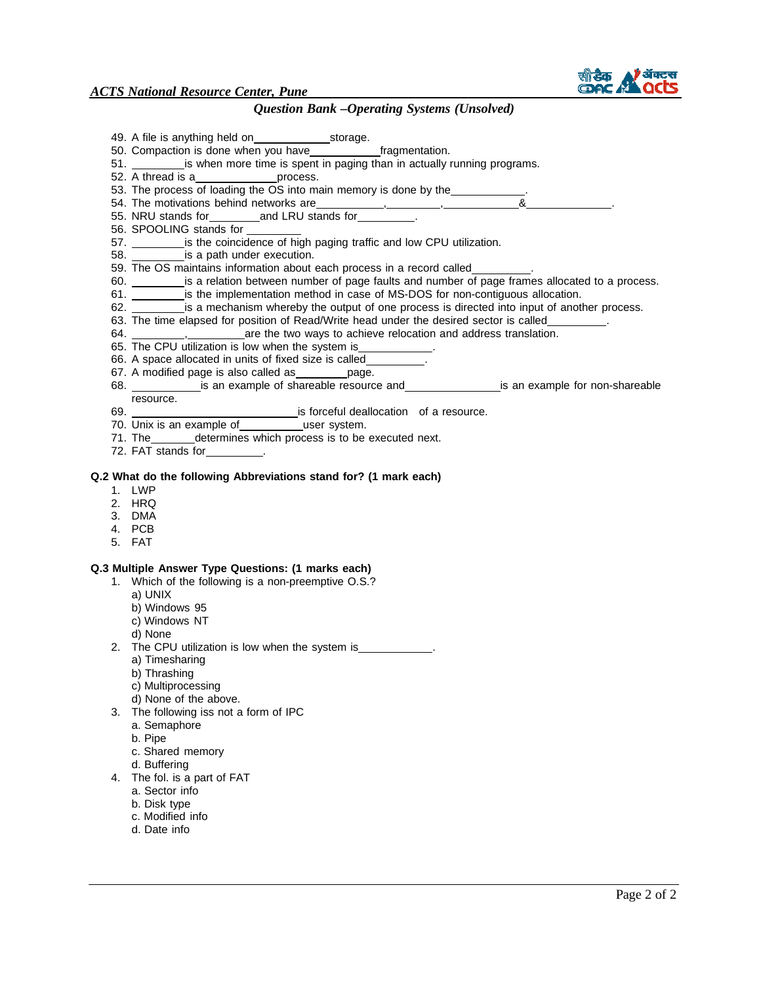

*ACTS National Resource Center, Pune*

# *Question Bank –Operating Systems (Unsolved)*

|    | 49. A file is anything held on storage.                                                                                                                                                                                            |
|----|------------------------------------------------------------------------------------------------------------------------------------------------------------------------------------------------------------------------------------|
|    | 50. Compaction is done when you have_______________fragmentation.<br>51. __________ is when more time is spent in paging than in actually running programs.                                                                        |
|    | 52. A thread is a__________________process.                                                                                                                                                                                        |
|    | 53. The process of loading the OS into main memory is done by the __________.                                                                                                                                                      |
|    | 54. The motivations behind networks are<br>The motivations behind networks are<br>The motivations of the state of the state of the state of the state of the state of the state of the state of the state of the state of the stat |
|    |                                                                                                                                                                                                                                    |
|    | 56. SPOOLING stands for ________<br>57. ___________ is the coincidence of high paging traffic and low CPU utilization.                                                                                                             |
|    | 58. _____________ is a path under execution.                                                                                                                                                                                       |
|    | 59. The OS maintains information about each process in a record called_________.                                                                                                                                                   |
|    | 60. __________ is a relation between number of page faults and number of page frames allocated to a process.                                                                                                                       |
|    | 61. ___________ is the implementation method in case of MS-DOS for non-contiguous allocation.                                                                                                                                      |
|    | 62. is a mechanism whereby the output of one process is directed into input of another process.<br>63. The time elapsed for position of Read/Write head under the desired sector is called_________.                               |
|    |                                                                                                                                                                                                                                    |
|    | 65. The CPU utilization is low when the system is ___________.                                                                                                                                                                     |
|    | 66. A space allocated in units of fixed size is called__________.                                                                                                                                                                  |
|    | 67. A modified page is also called as _________ page.                                                                                                                                                                              |
|    |                                                                                                                                                                                                                                    |
|    | resource.                                                                                                                                                                                                                          |
|    | 70. Unix is an example of user system.                                                                                                                                                                                             |
|    | 71. The ________ determines which process is to be executed next.                                                                                                                                                                  |
|    | 72. FAT stands for _________.                                                                                                                                                                                                      |
|    |                                                                                                                                                                                                                                    |
|    | Q.2 What do the following Abbreviations stand for? (1 mark each)<br>1. LWP                                                                                                                                                         |
|    | 2. HRQ                                                                                                                                                                                                                             |
|    | 3. DMA                                                                                                                                                                                                                             |
|    | 4. PCB                                                                                                                                                                                                                             |
|    | 5. FAT                                                                                                                                                                                                                             |
|    | Q.3 Multiple Answer Type Questions: (1 marks each)                                                                                                                                                                                 |
|    | 1. Which of the following is a non-preemptive O.S.?                                                                                                                                                                                |
|    | a) UNIX                                                                                                                                                                                                                            |
|    | b) Windows 95                                                                                                                                                                                                                      |
|    | c) Windows NT                                                                                                                                                                                                                      |
|    | d) None                                                                                                                                                                                                                            |
|    | 2. The CPU utilization is low when the system is                                                                                                                                                                                   |
|    | a) Timesharing<br>b) Thrashing                                                                                                                                                                                                     |
|    | c) Multiprocessing                                                                                                                                                                                                                 |
|    | d) None of the above.                                                                                                                                                                                                              |
| 3. | The following iss not a form of IPC                                                                                                                                                                                                |
|    | a. Semaphore                                                                                                                                                                                                                       |
|    | b. Pipe                                                                                                                                                                                                                            |
|    | c. Shared memory<br>d. Buffering                                                                                                                                                                                                   |
| 4. | The fol. is a part of FAT                                                                                                                                                                                                          |
|    | a. Sector info                                                                                                                                                                                                                     |
|    | b. Disk type                                                                                                                                                                                                                       |
|    | c. Modified info                                                                                                                                                                                                                   |
|    | d. Date info                                                                                                                                                                                                                       |
|    |                                                                                                                                                                                                                                    |
|    |                                                                                                                                                                                                                                    |
|    |                                                                                                                                                                                                                                    |
|    | Page 2 of 2                                                                                                                                                                                                                        |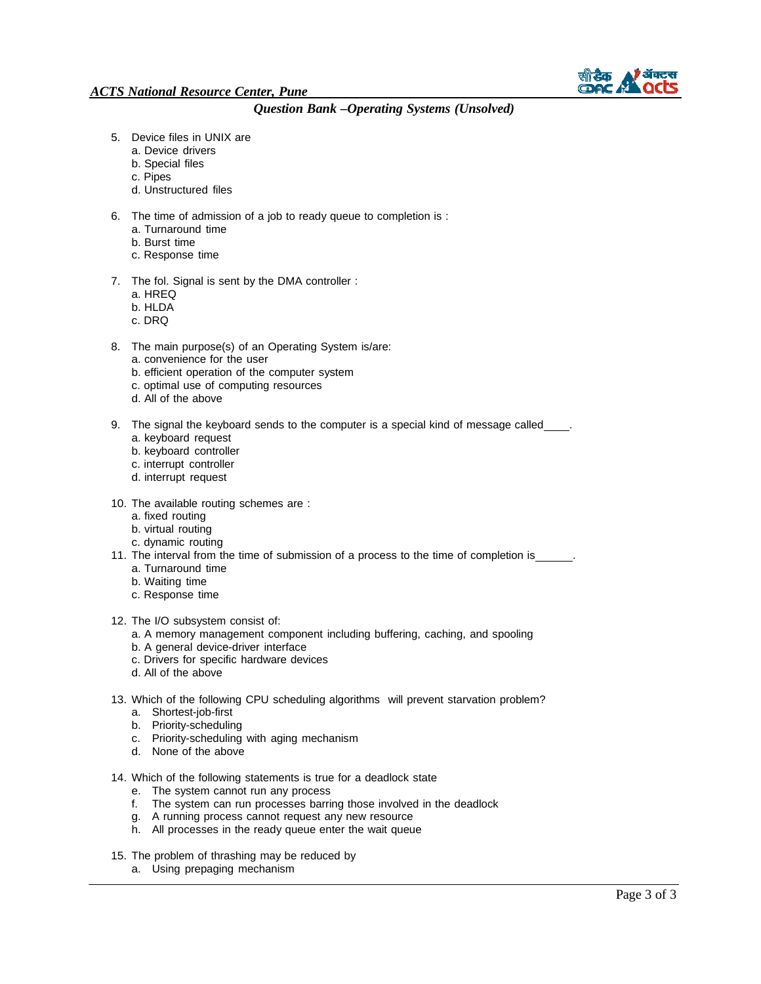

- 5. Device files in UNIX are
	- a. Device drivers
	- b. Special files
	- c. Pipes
	- d. Unstructured files
- 6. The time of admission of a job to ready queue to completion is :
	- a. Turnaround time
	- b. Burst time
	- c. Response time
- 7. The fol. Signal is sent by the DMA controller :
	- a. HREQ
	- b. HLDA
	- c. DRQ
- 8. The main purpose(s) of an Operating System is/are:
	- a. convenience for the user
	- b. efficient operation of the computer system
	- c. optimal use of computing resources
	- d. All of the above
- 9. The signal the keyboard sends to the computer is a special kind of message called .
	- a. keyboard request
	- b. keyboard controller
	- c. interrupt controller
	- d. interrupt request
- 10. The available routing schemes are :
	- a. fixed routing
	- b. virtual routing
	- c. dynamic routing
- 11. The interval from the time of submission of a process to the time of completion is a. Turnaround time
	- b. Waiting time
	- c. Response time
- 12. The I/O subsystem consist of:
	- a. A memory management component including buffering, caching, and spooling
	- b. A general device-driver interface
	- c. Drivers for specific hardware devices
	- d. All of the above
- 13. Which of the following CPU scheduling algorithms will prevent starvation problem?
	- a. Shortest-job-first
	- b. Priority-scheduling
	- c. Priority-scheduling with aging mechanism
	- d. None of the above
- 14. Which of the following statements is true for a deadlock state
	- e. The system cannot run any process
	- f. The system can run processes barring those involved in the deadlock
	- g. A running process cannot request any new resource
	- h. All processes in the ready queue enter the wait queue
- 15. The problem of thrashing may be reduced by
	- a. Using prepaging mechanism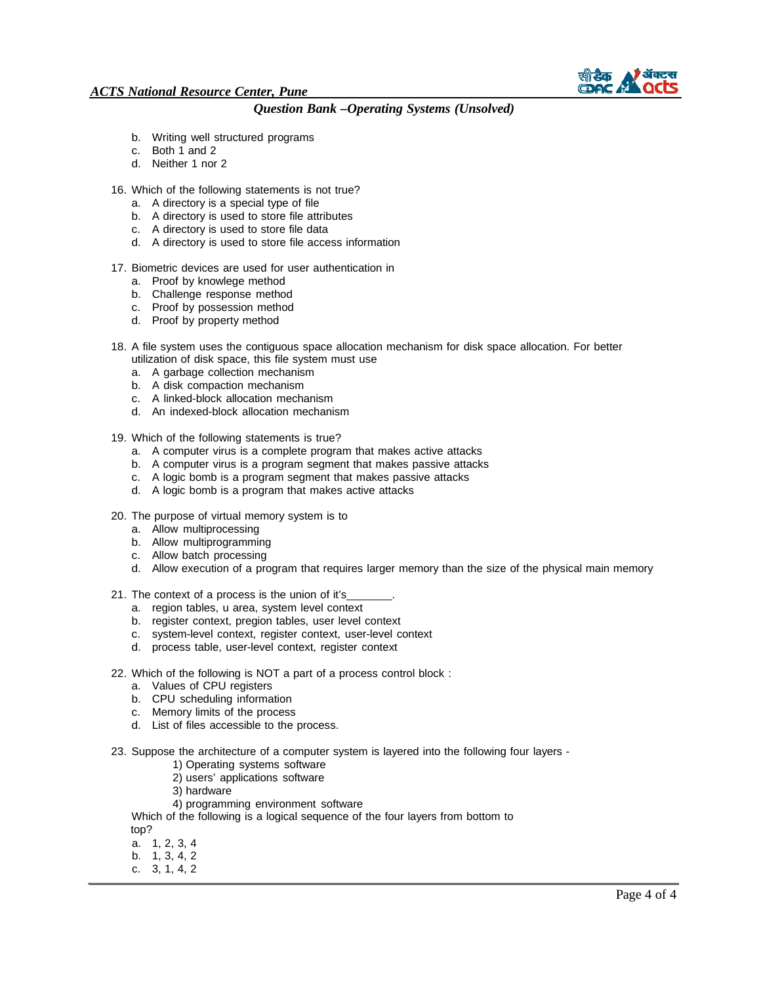

- b. Writing well structured programs
- c. Both 1 and 2
- d. Neither 1 nor 2
- 16. Which of the following statements is not true?
	- a. A directory is a special type of file
	- b. A directory is used to store file attributes
	- c. A directory is used to store file data
	- d. A directory is used to store file access information
- 17. Biometric devices are used for user authentication in
	- a. Proof by knowlege method
	- b. Challenge response method
	- c. Proof by possession method
	- d. Proof by property method
- 18. A file system uses the contiguous space allocation mechanism for disk space allocation. For better utilization of disk space, this file system must use
	- a. A garbage collection mechanism
	- b. A disk compaction mechanism
	- c. A linked-block allocation mechanism
	- d. An indexed-block allocation mechanism
- 19. Which of the following statements is true?
	- a. A computer virus is a complete program that makes active attacks
	- b. A computer virus is a program segment that makes passive attacks
	- c. A logic bomb is a program segment that makes passive attacks
	- d. A logic bomb is a program that makes active attacks
- 20. The purpose of virtual memory system is to
	- a. Allow multiprocessing
	- b. Allow multiprogramming
	- c. Allow batch processing
	- d. Allow execution of a program that requires larger memory than the size of the physical main memory
- 21. The context of a process is the union of it's
	- a. region tables, u area, system level context
	- b. register context, pregion tables, user level context
	- c. system-level context, register context, user-level context
	- d. process table, user-level context, register context
- 22. Which of the following is NOT a part of a process control block :
	- a. Values of CPU registers
	- b. CPU scheduling information
	- c. Memory limits of the process
	- d. List of files accessible to the process.
- 23. Suppose the architecture of a computer system is layered into the following four layers
	- 1) Operating systems software
	- 2) users' applications software
	- 3) hardware
	- 4) programming environment software

Which of the following is a logical sequence of the four layers from bottom to top?

- a. 1, 2, 3, 4
- b. 1, 3, 4, 2
- c. 3, 1, 4, 2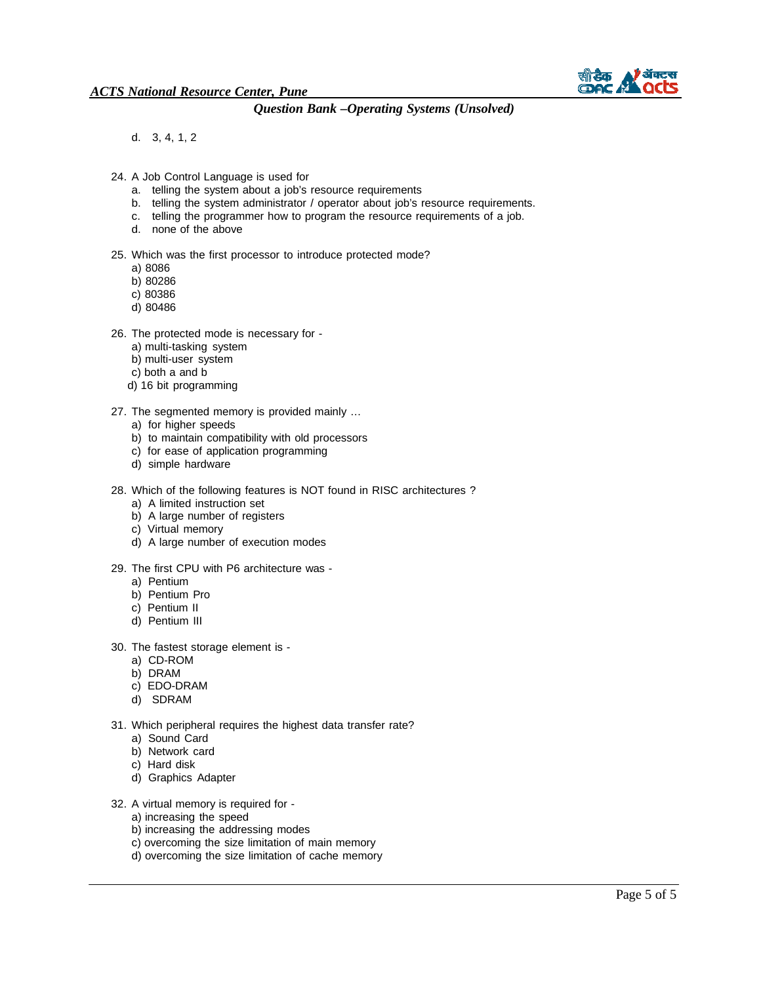

d. 3, 4, 1, 2

- 24. A Job Control Language is used for
	- a. telling the system about a job's resource requirements
	- b. telling the system administrator / operator about job's resource requirements.
	- c. telling the programmer how to program the resource requirements of a job.
	- d. none of the above

#### 25. Which was the first processor to introduce protected mode?

- a) 8086
- b) 80286
- c) 80386
- d) 80486
- 26. The protected mode is necessary for
	- a) multi-tasking system
	- b) multi-user system
	- c) both a and b
	- d) 16 bit programming
- 27. The segmented memory is provided mainly …
	- a) for higher speeds
	- b) to maintain compatibility with old processors
	- c) for ease of application programming
	- d) simple hardware
- 28. Which of the following features is NOT found in RISC architectures ?
	- a) A limited instruction set
	- b) A large number of registers
	- c) Virtual memory
	- d) A large number of execution modes
- 29. The first CPU with P6 architecture was
	- a) Pentium
	- b) Pentium Pro
	- c) Pentium II
	- d) Pentium III
- 30. The fastest storage element is
	- a) CD-ROM
	- b) DRAM
	- c) EDO-DRAM
	- d) SDRAM
- 31. Which peripheral requires the highest data transfer rate?
	- a) Sound Card
	- b) Network card
	- c) Hard disk
	- d) Graphics Adapter
- 32. A virtual memory is required for
	- a) increasing the speed
	- b) increasing the addressing modes
	- c) overcoming the size limitation of main memory
	- d) overcoming the size limitation of cache memory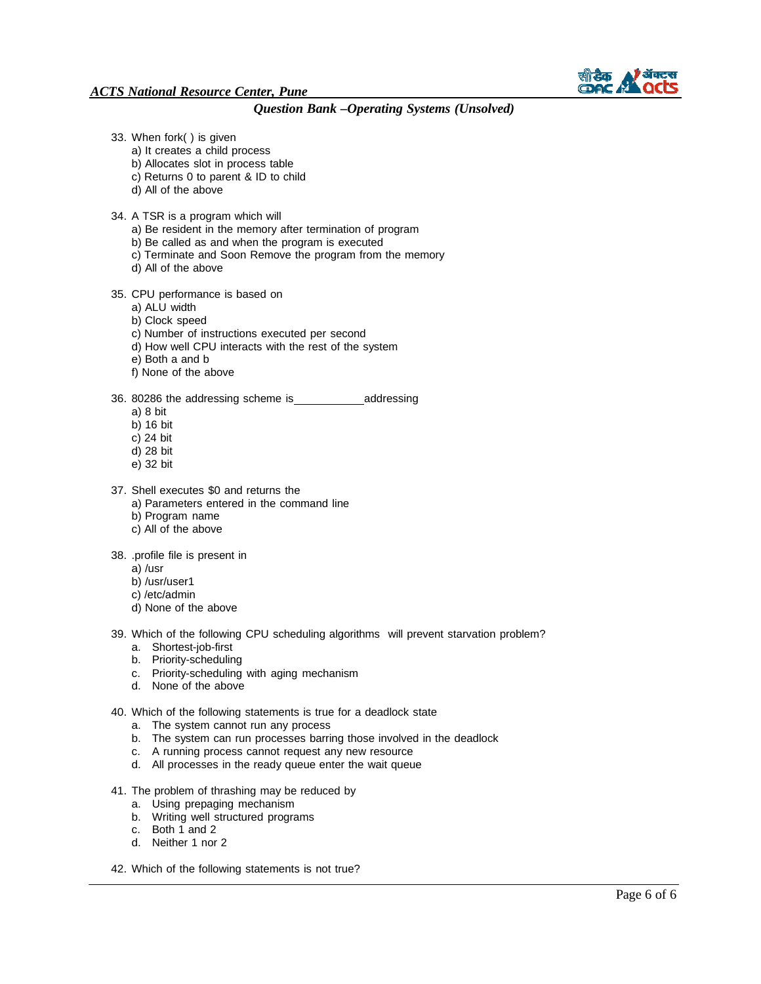

### *ACTS National Resource Center, Pune*

*Question Bank –Operating Systems (Unsolved)*

- 33. When fork( ) is given
	- a) It creates a child process
	- b) Allocates slot in process table
	- c) Returns 0 to parent & ID to child
	- d) All of the above
- 34. A TSR is a program which will
	- a) Be resident in the memory after termination of program
	- b) Be called as and when the program is executed
	- c) Terminate and Soon Remove the program from the memory
	- d) All of the above

#### 35. CPU performance is based on

- a) ALU width
- b) Clock speed
- c) Number of instructions executed per second
- d) How well CPU interacts with the rest of the system
- e) Both a and b
- f) None of the above
- 36. 80286 the addressing scheme is\_\_\_\_\_\_\_\_\_\_\_\_\_\_\_addressing
	- a) 8 bit
	- b) 16 bit
	- c) 24 bit
	- d) 28 bit
	- e) 32 bit
- 37. Shell executes \$0 and returns the
	- a) Parameters entered in the command line
	- b) Program name
	- c) All of the above

38. .profile file is present in

- a) /usr
- b) /usr/user1
- c) /etc/admin
- d) None of the above

39. Which of the following CPU scheduling algorithms will prevent starvation problem?

- a. Shortest-job-first
- b. Priority-scheduling
- c. Priority-scheduling with aging mechanism
- d. None of the above

40. Which of the following statements is true for a deadlock state

- a. The system cannot run any process
- b. The system can run processes barring those involved in the deadlock
- c. A running process cannot request any new resource
- d. All processes in the ready queue enter the wait queue
- 41. The problem of thrashing may be reduced by
	- a. Using prepaging mechanism
	- b. Writing well structured programs
	- c. Both 1 and 2
	- d. Neither 1 nor 2
- 42. Which of the following statements is not true?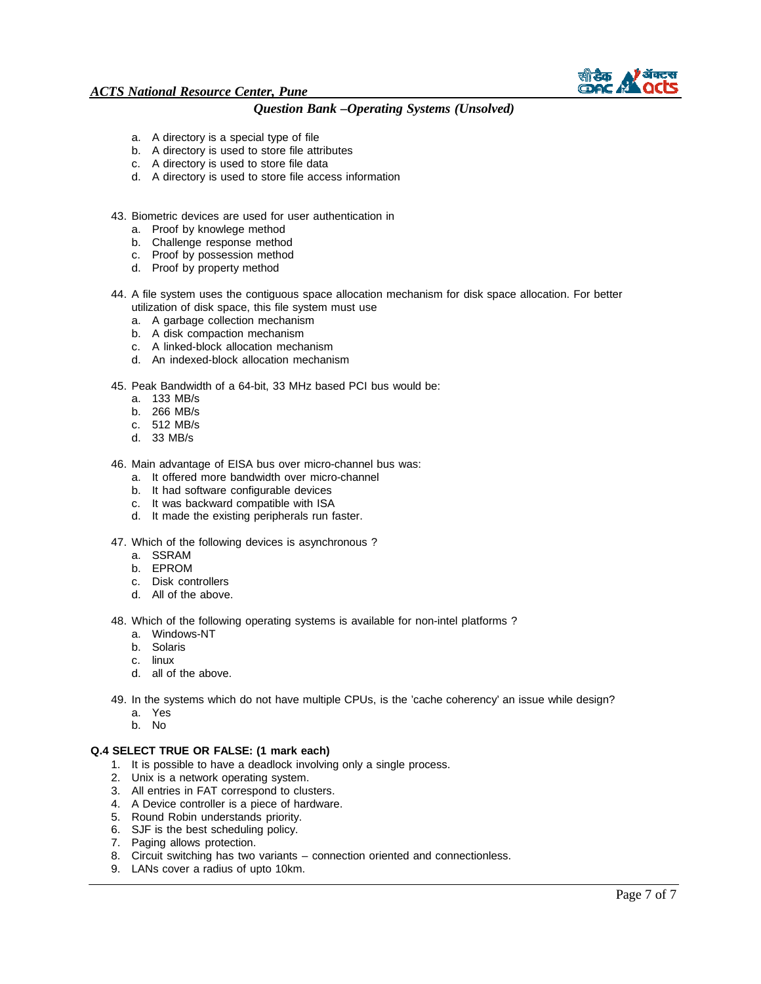

### *ACTS National Resource Center, Pune*

### *Question Bank –Operating Systems (Unsolved)*

- a. A directory is a special type of file
- b. A directory is used to store file attributes
- c. A directory is used to store file data
- d. A directory is used to store file access information
- 43. Biometric devices are used for user authentication in
	- a. Proof by knowlege method
	- b. Challenge response method
	- c. Proof by possession method
	- d. Proof by property method
- 44. A file system uses the contiguous space allocation mechanism for disk space allocation. For better utilization of disk space, this file system must use
	- a. A garbage collection mechanism
	- b. A disk compaction mechanism
	- c. A linked-block allocation mechanism
	- d. An indexed-block allocation mechanism

45. Peak Bandwidth of a 64-bit, 33 MHz based PCI bus would be:

- a. 133 MB/s
- b. 266 MB/s
- c. 512 MB/s
- d. 33 MB/s

46. Main advantage of EISA bus over micro-channel bus was:

- a. It offered more bandwidth over micro-channel
- b. It had software configurable devices
- c. It was backward compatible with ISA
- d. It made the existing peripherals run faster.
- 47. Which of the following devices is asynchronous ?
	- a. SSRAM
	- b. EPROM
	- c. Disk controllers
	- d. All of the above.

48. Which of the following operating systems is available for non-intel platforms ?

- a. Windows-NT
- b. Solaris
- c. linux
- d. all of the above.

49. In the systems which do not have multiple CPUs, is the 'cache coherency' an issue while design?

- a. Yes
- b. No

#### **Q.4 SELECT TRUE OR FALSE: (1 mark each)**

- 1. It is possible to have a deadlock involving only a single process.
- 2. Unix is a network operating system.
- 3. All entries in FAT correspond to clusters.
- 4. A Device controller is a piece of hardware.
- 5. Round Robin understands priority.
- 6. SJF is the best scheduling policy.
- 7. Paging allows protection.
- 8. Circuit switching has two variants connection oriented and connectionless.
- 9. LANs cover a radius of upto 10km.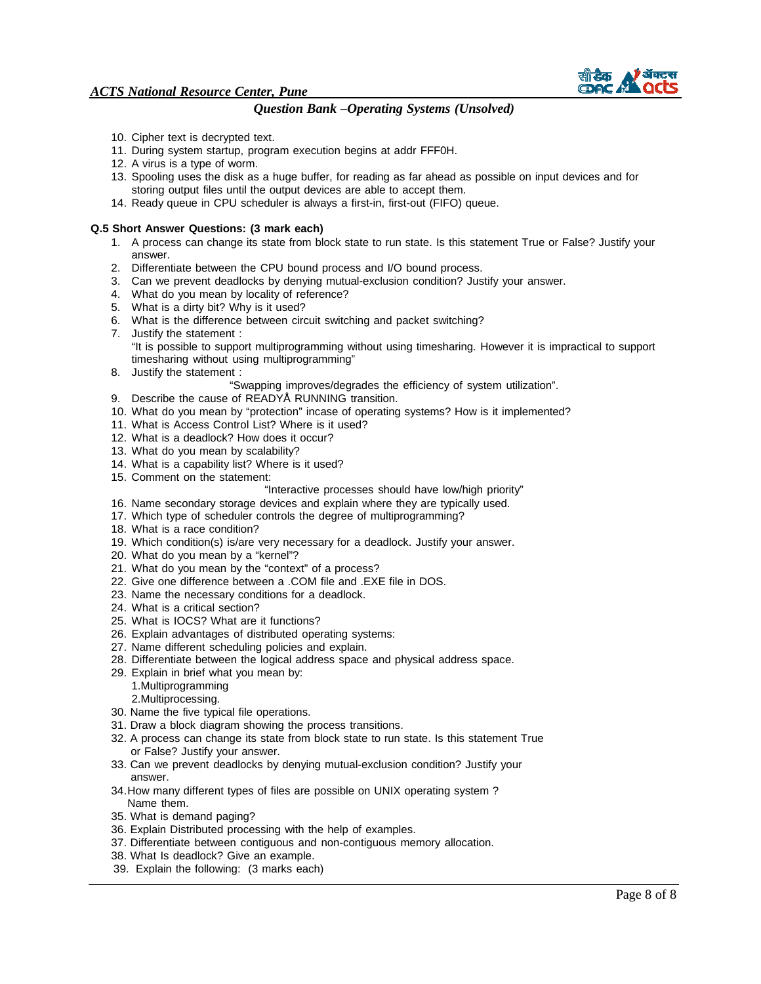

- 10. Cipher text is decrypted text.
- 11. During system startup, program execution begins at addr FFF0H.
- 12. A virus is a type of worm.
- 13. Spooling uses the disk as a huge buffer, for reading as far ahead as possible on input devices and for storing output files until the output devices are able to accept them.
- 14. Ready queue in CPU scheduler is always a first-in, first-out (FIFO) queue.

#### **Q.5 Short Answer Questions: (3 mark each)**

- 1. A process can change its state from block state to run state. Is this statement True or False? Justify your answer.
- 2. Differentiate between the CPU bound process and I/O bound process.
- 3. Can we prevent deadlocks by denying mutual-exclusion condition? Justify your answer.
- 4. What do you mean by locality of reference?
- 5. What is a dirty bit? Why is it used?
- 6. What is the difference between circuit switching and packet switching?
- 7. Justify the statement : "It is possible to support multiprogramming without using timesharing. However it is impractical to support timesharing without using multiprogramming"
- 8. Justify the statement :
	- "Swapping improves/degrades the efficiency of system utilization".
- 9. Describe the cause of READYÅ RUNNING transition.
- 10. What do you mean by "protection" incase of operating systems? How is it implemented?
- 11. What is Access Control List? Where is it used?
- 12. What is a deadlock? How does it occur?
- 13. What do you mean by scalability?
- 14. What is a capability list? Where is it used?
- 15. Comment on the statement:
	- "Interactive processes should have low/high priority"
- 16. Name secondary storage devices and explain where they are typically used.
- 17. Which type of scheduler controls the degree of multiprogramming?
- 18. What is a race condition?
- 19. Which condition(s) is/are very necessary for a deadlock. Justify your answer.
- 20. What do you mean by a "kernel"?
- 21. What do you mean by the "context" of a process?
- 22. Give one difference between a .COM file and .EXE file in DOS.
- 23. Name the necessary conditions for a deadlock.
- 24. What is a critical section?
- 25. What is IOCS? What are it functions?
- 26. Explain advantages of distributed operating systems:
- 27. Name different scheduling policies and explain.
- 28. Differentiate between the logical address space and physical address space.
- 29. Explain in brief what you mean by:
	- 1.Multiprogramming 2.Multiprocessing.
- 30. Name the five typical file operations.
- 31. Draw a block diagram showing the process transitions.
- 32. A process can change its state from block state to run state. Is this statement True or False? Justify your answer.
- 33. Can we prevent deadlocks by denying mutual-exclusion condition? Justify your answer.
- 34. How many different types of files are possible on UNIX operating system ? Name them.
- 35. What is demand paging?
- 36. Explain Distributed processing with the help of examples.
- 37. Differentiate between contiguous and non-contiguous memory allocation.
- 38. What Is deadlock? Give an example.
- 39. Explain the following: (3 marks each)